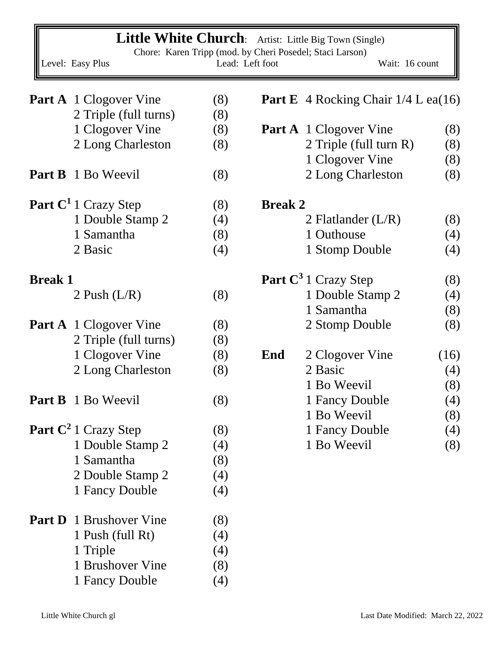| <b>Little White Church</b> : Artist: Little Big Town (Single)<br>Chore: Karen Tripp (mod. by Cheri Posedel; Staci Larson) |                                        |                 |                |                                              |      |
|---------------------------------------------------------------------------------------------------------------------------|----------------------------------------|-----------------|----------------|----------------------------------------------|------|
|                                                                                                                           | Level: Easy Plus                       | Lead: Left foot |                | Wait: 16 count                               |      |
|                                                                                                                           | <b>Part A</b> 1 Clogover Vine          | (8)             |                | <b>Part E</b> 4 Rocking Chair $1/4$ L ea(16) |      |
|                                                                                                                           | 2 Triple (full turns)                  | (8)             |                |                                              |      |
|                                                                                                                           | 1 Clogover Vine                        | (8)             |                | <b>Part A</b> 1 Clogover Vine                | (8)  |
|                                                                                                                           | 2 Long Charleston                      | (8)             |                | 2 Triple (full turn R)                       | (8)  |
|                                                                                                                           |                                        |                 |                | 1 Clogover Vine                              | (8)  |
|                                                                                                                           | <b>Part B</b> 1 Bo Weevil              | (8)             |                | 2 Long Charleston                            | (8)  |
|                                                                                                                           | Part C <sup>1</sup> 1 Crazy Step       | (8)             | <b>Break 2</b> |                                              |      |
|                                                                                                                           | 1 Double Stamp 2                       | (4)             |                | 2 Flatlander $(L/R)$                         | (8)  |
|                                                                                                                           | 1 Samantha                             | (8)             |                | 1 Outhouse                                   | (4)  |
|                                                                                                                           | 2 Basic                                | (4)             |                | 1 Stomp Double                               | (4)  |
| <b>Break 1</b>                                                                                                            |                                        |                 |                | Part C <sup>3</sup> 1 Crazy Step             | (8)  |
|                                                                                                                           | 2 Push $(L/R)$                         | (8)             |                | 1 Double Stamp 2                             | (4)  |
|                                                                                                                           |                                        |                 |                | 1 Samantha                                   | (8)  |
|                                                                                                                           | <b>Part A</b> 1 Clogover Vine          | (8)             |                | 2 Stomp Double                               | (8)  |
|                                                                                                                           | 2 Triple (full turns)                  | (8)             |                |                                              |      |
|                                                                                                                           | 1 Clogover Vine                        | (8)             | End            | 2 Clogover Vine                              | (16) |
|                                                                                                                           | 2 Long Charleston                      | (8)             |                | 2 Basic                                      | (4)  |
|                                                                                                                           |                                        |                 |                | 1 Bo Weevil                                  | (8)  |
|                                                                                                                           | <b>Part B</b> 1 Bo Weevil              | (8)             |                | 1 Fancy Double                               | (4)  |
|                                                                                                                           |                                        |                 |                | 1 Bo Weevil                                  | (8)  |
|                                                                                                                           | <b>Part C<sup>2</sup></b> 1 Crazy Step | (8)             |                | 1 Fancy Double                               | (4)  |
|                                                                                                                           | 1 Double Stamp 2                       | (4)             |                | 1 Bo Weevil                                  | (8)  |
|                                                                                                                           | 1 Samantha                             | (8)             |                |                                              |      |
|                                                                                                                           | 2 Double Stamp 2                       | (4)             |                |                                              |      |
|                                                                                                                           | 1 Fancy Double                         | (4)             |                |                                              |      |
|                                                                                                                           | <b>Part D</b> 1 Brushover Vine         | (8)             |                |                                              |      |
|                                                                                                                           | 1 Push (full Rt)                       | (4)             |                |                                              |      |
|                                                                                                                           | 1 Triple                               | (4)             |                |                                              |      |
|                                                                                                                           | 1 Brushover Vine                       | (8)             |                |                                              |      |
|                                                                                                                           | 1 Fancy Double                         | (4)             |                |                                              |      |